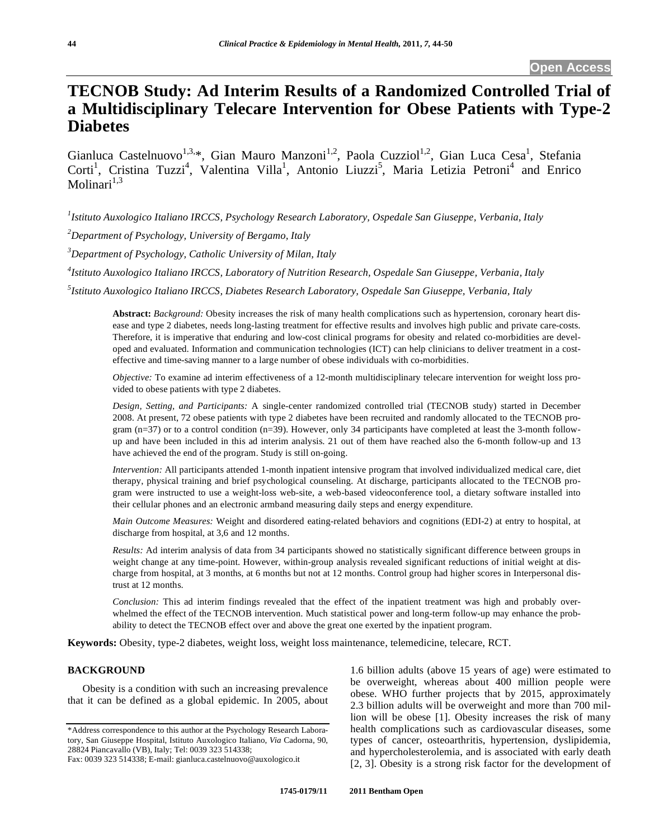# **TECNOB Study: Ad Interim Results of a Randomized Controlled Trial of a Multidisciplinary Telecare Intervention for Obese Patients with Type-2 Diabetes**

Gianluca Castelnuovo<sup>1,3,\*</sup>, Gian Mauro Manzoni<sup>1,2</sup>, Paola Cuzziol<sup>1,2</sup>, Gian Luca Cesa<sup>1</sup>, Stefania Corti<sup>1</sup>, Cristina Tuzzi<sup>4</sup>, Valentina Villa<sup>1</sup>, Antonio Liuzzi<sup>5</sup>, Maria Letizia Petroni<sup>4</sup> and Enrico Molinari $1,3$ 

*1 Istituto Auxologico Italiano IRCCS, Psychology Research Laboratory, Ospedale San Giuseppe, Verbania, Italy* 

*2 Department of Psychology, University of Bergamo, Italy* 

*3 Department of Psychology, Catholic University of Milan, Italy* 

*4 Istituto Auxologico Italiano IRCCS, Laboratory of Nutrition Research, Ospedale San Giuseppe, Verbania, Italy* 

*5 Istituto Auxologico Italiano IRCCS, Diabetes Research Laboratory, Ospedale San Giuseppe, Verbania, Italy* 

**Abstract:** *Background:* Obesity increases the risk of many health complications such as hypertension, coronary heart disease and type 2 diabetes, needs long-lasting treatment for effective results and involves high public and private care-costs. Therefore, it is imperative that enduring and low-cost clinical programs for obesity and related co-morbidities are developed and evaluated. Information and communication technologies (ICT) can help clinicians to deliver treatment in a costeffective and time-saving manner to a large number of obese individuals with co-morbidities.

*Objective:* To examine ad interim effectiveness of a 12-month multidisciplinary telecare intervention for weight loss provided to obese patients with type 2 diabetes.

*Design, Setting, and Participants:* A single-center randomized controlled trial (TECNOB study) started in December 2008. At present, 72 obese patients with type 2 diabetes have been recruited and randomly allocated to the TECNOB program  $(n=37)$  or to a control condition  $(n=39)$ . However, only 34 participants have completed at least the 3-month followup and have been included in this ad interim analysis. 21 out of them have reached also the 6-month follow-up and 13 have achieved the end of the program. Study is still on-going.

*Intervention:* All participants attended 1-month inpatient intensive program that involved individualized medical care, diet therapy, physical training and brief psychological counseling. At discharge, participants allocated to the TECNOB program were instructed to use a weight-loss web-site, a web-based videoconference tool, a dietary software installed into their cellular phones and an electronic armband measuring daily steps and energy expenditure.

*Main Outcome Measures:* Weight and disordered eating-related behaviors and cognitions (EDI-2) at entry to hospital, at discharge from hospital, at 3,6 and 12 months.

*Results:* Ad interim analysis of data from 34 participants showed no statistically significant difference between groups in weight change at any time-point. However, within-group analysis revealed significant reductions of initial weight at discharge from hospital, at 3 months, at 6 months but not at 12 months. Control group had higher scores in Interpersonal distrust at 12 months.

*Conclusion:* This ad interim findings revealed that the effect of the inpatient treatment was high and probably overwhelmed the effect of the TECNOB intervention. Much statistical power and long-term follow-up may enhance the probability to detect the TECNOB effect over and above the great one exerted by the inpatient program.

**Keywords:** Obesity, type-2 diabetes, weight loss, weight loss maintenance, telemedicine, telecare, RCT.

# **BACKGROUND**

Obesity is a condition with such an increasing prevalence that it can be defined as a global epidemic. In 2005, about 1.6 billion adults (above 15 years of age) were estimated to be overweight, whereas about 400 million people were obese. WHO further projects that by 2015, approximately 2.3 billion adults will be overweight and more than 700 million will be obese [1]. Obesity increases the risk of many health complications such as cardiovascular diseases, some types of cancer, osteoarthritis, hypertension, dyslipidemia, and hypercholesterolemia, and is associated with early death [2, 3]. Obesity is a strong risk factor for the development of

<sup>\*</sup>Address correspondence to this author at the Psychology Research Laboratory, San Giuseppe Hospital, Istituto Auxologico Italiano, *Via* Cadorna, 90, 28824 Piancavallo (VB), Italy; Tel: 0039 323 514338;

Fax: 0039 323 514338; E-mail: gianluca.castelnuovo@auxologico.it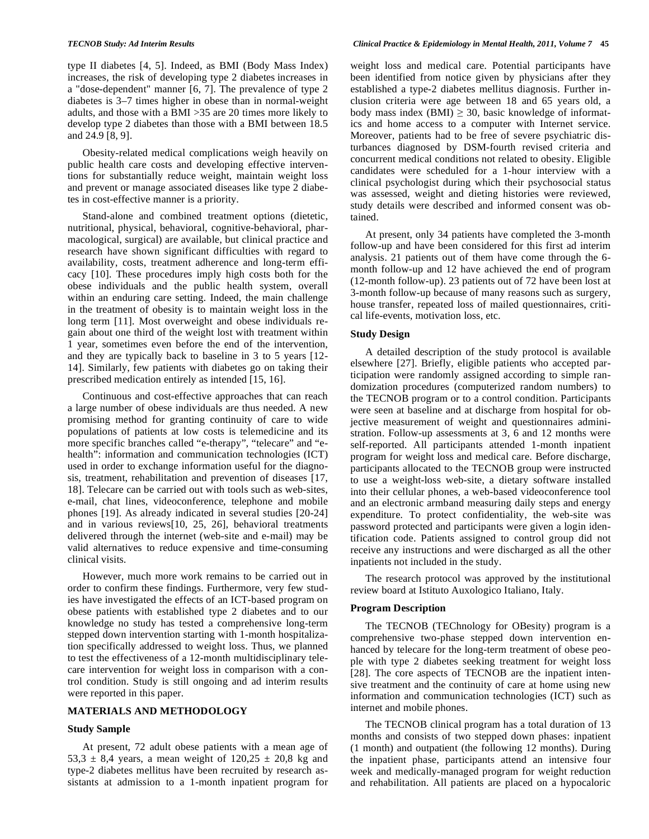type II diabetes [4, 5]. Indeed, as BMI (Body Mass Index) increases, the risk of developing type 2 diabetes increases in a "dose-dependent" manner [6, 7]. The prevalence of type 2 diabetes is 3–7 times higher in obese than in normal-weight adults, and those with a BMI >35 are 20 times more likely to develop type 2 diabetes than those with a BMI between 18.5 and 24.9 [8, 9].

Obesity-related medical complications weigh heavily on public health care costs and developing effective interventions for substantially reduce weight, maintain weight loss and prevent or manage associated diseases like type 2 diabetes in cost-effective manner is a priority.

Stand-alone and combined treatment options (dietetic, nutritional, physical, behavioral, cognitive-behavioral, pharmacological, surgical) are available, but clinical practice and research have shown significant difficulties with regard to availability, costs, treatment adherence and long-term efficacy [10]. These procedures imply high costs both for the obese individuals and the public health system, overall within an enduring care setting. Indeed, the main challenge in the treatment of obesity is to maintain weight loss in the long term [11]. Most overweight and obese individuals regain about one third of the weight lost with treatment within 1 year, sometimes even before the end of the intervention, and they are typically back to baseline in 3 to 5 years [12- 14]. Similarly, few patients with diabetes go on taking their prescribed medication entirely as intended [15, 16].

Continuous and cost-effective approaches that can reach a large number of obese individuals are thus needed. A new promising method for granting continuity of care to wide populations of patients at low costs is telemedicine and its more specific branches called "e-therapy", "telecare" and "ehealth": information and communication technologies (ICT) used in order to exchange information useful for the diagnosis, treatment, rehabilitation and prevention of diseases [17, 18]. Telecare can be carried out with tools such as web-sites, e-mail, chat lines, videoconference, telephone and mobile phones [19]. As already indicated in several studies [20-24] and in various reviews[10, 25, 26], behavioral treatments delivered through the internet (web-site and e-mail) may be valid alternatives to reduce expensive and time-consuming clinical visits.

However, much more work remains to be carried out in order to confirm these findings. Furthermore, very few studies have investigated the effects of an ICT-based program on obese patients with established type 2 diabetes and to our knowledge no study has tested a comprehensive long-term stepped down intervention starting with 1-month hospitalization specifically addressed to weight loss. Thus, we planned to test the effectiveness of a 12-month multidisciplinary telecare intervention for weight loss in comparison with a control condition. Study is still ongoing and ad interim results were reported in this paper.

# **MATERIALS AND METHODOLOGY**

#### **Study Sample**

At present, 72 adult obese patients with a mean age of 53,3  $\pm$  8,4 years, a mean weight of 120,25  $\pm$  20,8 kg and type-2 diabetes mellitus have been recruited by research assistants at admission to a 1-month inpatient program for

weight loss and medical care. Potential participants have been identified from notice given by physicians after they established a type-2 diabetes mellitus diagnosis. Further inclusion criteria were age between 18 and 65 years old, a body mass index (BMI)  $\geq$  30, basic knowledge of informatics and home access to a computer with Internet service. Moreover, patients had to be free of severe psychiatric disturbances diagnosed by DSM-fourth revised criteria and concurrent medical conditions not related to obesity. Eligible candidates were scheduled for a 1-hour interview with a clinical psychologist during which their psychosocial status was assessed, weight and dieting histories were reviewed, study details were described and informed consent was obtained.

At present, only 34 patients have completed the 3-month follow-up and have been considered for this first ad interim analysis. 21 patients out of them have come through the 6 month follow-up and 12 have achieved the end of program (12-month follow-up). 23 patients out of 72 have been lost at 3-month follow-up because of many reasons such as surgery, house transfer, repeated loss of mailed questionnaires, critical life-events, motivation loss, etc.

#### **Study Design**

A detailed description of the study protocol is available elsewhere [27]. Briefly, eligible patients who accepted participation were randomly assigned according to simple randomization procedures (computerized random numbers) to the TECNOB program or to a control condition. Participants were seen at baseline and at discharge from hospital for objective measurement of weight and questionnaires administration. Follow-up assessments at 3, 6 and 12 months were self-reported. All participants attended 1-month inpatient program for weight loss and medical care. Before discharge, participants allocated to the TECNOB group were instructed to use a weight-loss web-site, a dietary software installed into their cellular phones, a web-based videoconference tool and an electronic armband measuring daily steps and energy expenditure. To protect confidentiality, the web-site was password protected and participants were given a login identification code. Patients assigned to control group did not receive any instructions and were discharged as all the other inpatients not included in the study.

The research protocol was approved by the institutional review board at Istituto Auxologico Italiano, Italy.

#### **Program Description**

The TECNOB (TEChnology for OBesity) program is a comprehensive two-phase stepped down intervention enhanced by telecare for the long-term treatment of obese people with type 2 diabetes seeking treatment for weight loss [28]. The core aspects of TECNOB are the inpatient intensive treatment and the continuity of care at home using new information and communication technologies (ICT) such as internet and mobile phones.

The TECNOB clinical program has a total duration of 13 months and consists of two stepped down phases: inpatient (1 month) and outpatient (the following 12 months). During the inpatient phase, participants attend an intensive four week and medically-managed program for weight reduction and rehabilitation. All patients are placed on a hypocaloric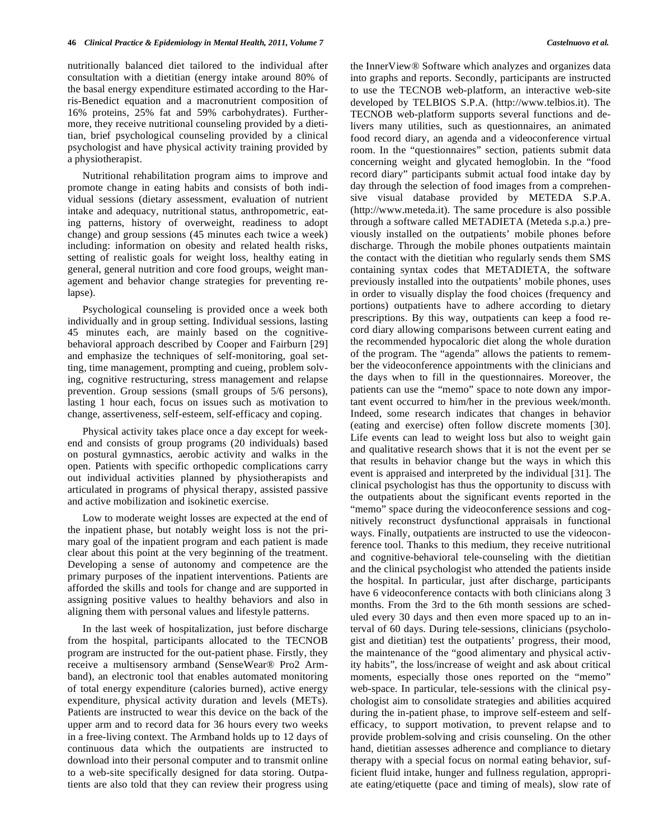nutritionally balanced diet tailored to the individual after consultation with a dietitian (energy intake around 80% of the basal energy expenditure estimated according to the Harris-Benedict equation and a macronutrient composition of 16% proteins, 25% fat and 59% carbohydrates). Furthermore, they receive nutritional counseling provided by a dietitian, brief psychological counseling provided by a clinical psychologist and have physical activity training provided by a physiotherapist.

Nutritional rehabilitation program aims to improve and promote change in eating habits and consists of both individual sessions (dietary assessment, evaluation of nutrient intake and adequacy, nutritional status, anthropometric, eating patterns, history of overweight, readiness to adopt change) and group sessions (45 minutes each twice a week) including: information on obesity and related health risks, setting of realistic goals for weight loss, healthy eating in general, general nutrition and core food groups, weight management and behavior change strategies for preventing relapse).

Psychological counseling is provided once a week both individually and in group setting. Individual sessions, lasting 45 minutes each, are mainly based on the cognitivebehavioral approach described by Cooper and Fairburn [29] and emphasize the techniques of self-monitoring, goal setting, time management, prompting and cueing, problem solving, cognitive restructuring, stress management and relapse prevention. Group sessions (small groups of 5/6 persons), lasting 1 hour each, focus on issues such as motivation to change, assertiveness, self-esteem, self-efficacy and coping.

Physical activity takes place once a day except for weekend and consists of group programs (20 individuals) based on postural gymnastics, aerobic activity and walks in the open. Patients with specific orthopedic complications carry out individual activities planned by physiotherapists and articulated in programs of physical therapy, assisted passive and active mobilization and isokinetic exercise.

Low to moderate weight losses are expected at the end of the inpatient phase, but notably weight loss is not the primary goal of the inpatient program and each patient is made clear about this point at the very beginning of the treatment. Developing a sense of autonomy and competence are the primary purposes of the inpatient interventions. Patients are afforded the skills and tools for change and are supported in assigning positive values to healthy behaviors and also in aligning them with personal values and lifestyle patterns.

In the last week of hospitalization, just before discharge from the hospital, participants allocated to the TECNOB program are instructed for the out-patient phase. Firstly, they receive a multisensory armband (SenseWear® Pro2 Armband), an electronic tool that enables automated monitoring of total energy expenditure (calories burned), active energy expenditure, physical activity duration and levels (METs). Patients are instructed to wear this device on the back of the upper arm and to record data for 36 hours every two weeks in a free-living context. The Armband holds up to 12 days of continuous data which the outpatients are instructed to download into their personal computer and to transmit online to a web-site specifically designed for data storing. Outpatients are also told that they can review their progress using

the InnerView® Software which analyzes and organizes data into graphs and reports. Secondly, participants are instructed to use the TECNOB web-platform, an interactive web-site developed by TELBIOS S.P.A. (http://www.telbios.it). The TECNOB web-platform supports several functions and delivers many utilities, such as questionnaires, an animated food record diary, an agenda and a videoconference virtual room. In the "questionnaires" section, patients submit data concerning weight and glycated hemoglobin. In the "food record diary" participants submit actual food intake day by day through the selection of food images from a comprehensive visual database provided by METEDA S.P.A. (http://www.meteda.it). The same procedure is also possible through a software called METADIETA (Meteda s.p.a.) previously installed on the outpatients' mobile phones before discharge. Through the mobile phones outpatients maintain the contact with the dietitian who regularly sends them SMS containing syntax codes that METADIETA, the software previously installed into the outpatients' mobile phones, uses in order to visually display the food choices (frequency and portions) outpatients have to adhere according to dietary prescriptions. By this way, outpatients can keep a food record diary allowing comparisons between current eating and the recommended hypocaloric diet along the whole duration of the program. The "agenda" allows the patients to remember the videoconference appointments with the clinicians and the days when to fill in the questionnaires. Moreover, the patients can use the "memo" space to note down any important event occurred to him/her in the previous week/month. Indeed, some research indicates that changes in behavior (eating and exercise) often follow discrete moments [30]. Life events can lead to weight loss but also to weight gain and qualitative research shows that it is not the event per se that results in behavior change but the ways in which this event is appraised and interpreted by the individual [31]. The clinical psychologist has thus the opportunity to discuss with the outpatients about the significant events reported in the "memo" space during the videoconference sessions and cognitively reconstruct dysfunctional appraisals in functional ways. Finally, outpatients are instructed to use the videoconference tool. Thanks to this medium, they receive nutritional and cognitive-behavioral tele-counseling with the dietitian and the clinical psychologist who attended the patients inside the hospital. In particular, just after discharge, participants have 6 videoconference contacts with both clinicians along 3 months. From the 3rd to the 6th month sessions are scheduled every 30 days and then even more spaced up to an interval of 60 days. During tele-sessions, clinicians (psychologist and dietitian) test the outpatients' progress, their mood, the maintenance of the "good alimentary and physical activity habits", the loss/increase of weight and ask about critical moments, especially those ones reported on the "memo" web-space. In particular, tele-sessions with the clinical psychologist aim to consolidate strategies and abilities acquired during the in-patient phase, to improve self-esteem and selfefficacy, to support motivation, to prevent relapse and to provide problem-solving and crisis counseling. On the other hand, dietitian assesses adherence and compliance to dietary therapy with a special focus on normal eating behavior, sufficient fluid intake, hunger and fullness regulation, appropriate eating/etiquette (pace and timing of meals), slow rate of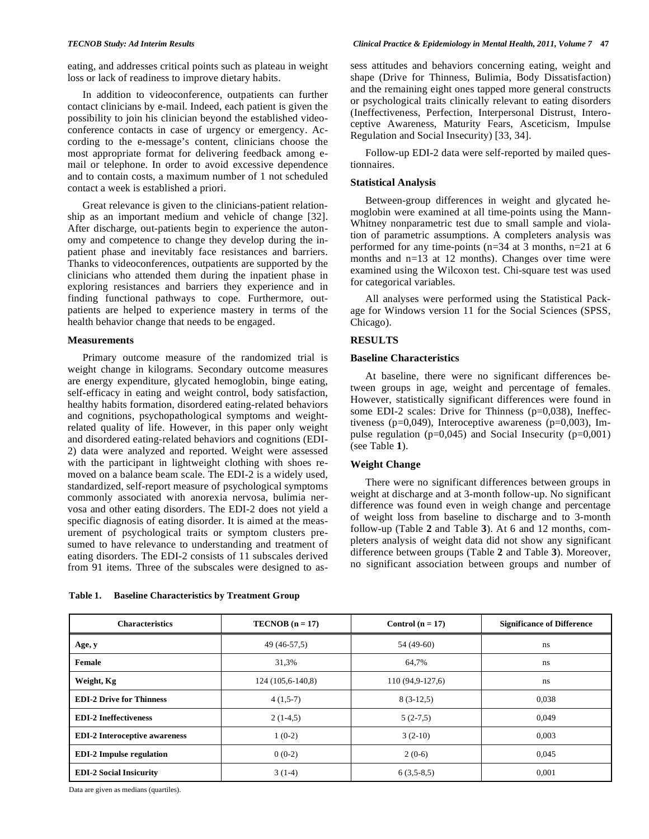eating, and addresses critical points such as plateau in weight loss or lack of readiness to improve dietary habits.

In addition to videoconference, outpatients can further contact clinicians by e-mail. Indeed, each patient is given the possibility to join his clinician beyond the established videoconference contacts in case of urgency or emergency. According to the e-message's content, clinicians choose the most appropriate format for delivering feedback among email or telephone. In order to avoid excessive dependence and to contain costs, a maximum number of 1 not scheduled contact a week is established a priori.

Great relevance is given to the clinicians-patient relationship as an important medium and vehicle of change [32]. After discharge, out-patients begin to experience the autonomy and competence to change they develop during the inpatient phase and inevitably face resistances and barriers. Thanks to videoconferences, outpatients are supported by the clinicians who attended them during the inpatient phase in exploring resistances and barriers they experience and in finding functional pathways to cope. Furthermore, outpatients are helped to experience mastery in terms of the health behavior change that needs to be engaged.

#### **Measurements**

Primary outcome measure of the randomized trial is weight change in kilograms. Secondary outcome measures are energy expenditure, glycated hemoglobin, binge eating, self-efficacy in eating and weight control, body satisfaction, healthy habits formation, disordered eating-related behaviors and cognitions, psychopathological symptoms and weightrelated quality of life. However, in this paper only weight and disordered eating-related behaviors and cognitions (EDI-2) data were analyzed and reported. Weight were assessed with the participant in lightweight clothing with shoes removed on a balance beam scale. The EDI-2 is a widely used, standardized, self-report measure of psychological symptoms commonly associated with anorexia nervosa, bulimia nervosa and other eating disorders. The EDI-2 does not yield a specific diagnosis of eating disorder. It is aimed at the measurement of psychological traits or symptom clusters presumed to have relevance to understanding and treatment of eating disorders. The EDI-2 consists of 11 subscales derived from 91 items. Three of the subscales were designed to as-

**Table 1. Baseline Characteristics by Treatment Group** 

sess attitudes and behaviors concerning eating, weight and shape (Drive for Thinness, Bulimia, Body Dissatisfaction) and the remaining eight ones tapped more general constructs or psychological traits clinically relevant to eating disorders (Ineffectiveness, Perfection, Interpersonal Distrust, Interoceptive Awareness, Maturity Fears, Asceticism, Impulse Regulation and Social Insecurity) [33, 34].

Follow-up EDI-2 data were self-reported by mailed questionnaires.

### **Statistical Analysis**

Between-group differences in weight and glycated hemoglobin were examined at all time-points using the Mann-Whitney nonparametric test due to small sample and violation of parametric assumptions. A completers analysis was performed for any time-points (n=34 at 3 months, n=21 at 6 months and n=13 at 12 months). Changes over time were examined using the Wilcoxon test. Chi-square test was used for categorical variables.

All analyses were performed using the Statistical Package for Windows version 11 for the Social Sciences (SPSS, Chicago).

#### **RESULTS**

#### **Baseline Characteristics**

At baseline, there were no significant differences between groups in age, weight and percentage of females. However, statistically significant differences were found in some EDI-2 scales: Drive for Thinness (p=0,038), Ineffectiveness ( $p=0.049$ ), Interoceptive awareness ( $p=0.003$ ), Impulse regulation ( $p=0,045$ ) and Social Insecurity ( $p=0,001$ ) (see Table **1**).

# **Weight Change**

There were no significant differences between groups in weight at discharge and at 3-month follow-up. No significant difference was found even in weigh change and percentage of weight loss from baseline to discharge and to 3-month follow-up (Table **2** and Table **3**). At 6 and 12 months, completers analysis of weight data did not show any significant difference between groups (Table **2** and Table **3**). Moreover, no significant association between groups and number of

| <b>Characteristics</b>               | $TECNOB (n = 17)$ | Control $(n = 17)$ | <b>Significance of Difference</b> |  |
|--------------------------------------|-------------------|--------------------|-----------------------------------|--|
| Age, y                               | 49 (46-57,5)      | 54 (49-60)         | ns                                |  |
| Female                               | 31,3%             | 64,7%              | ns                                |  |
| Weight, Kg                           | 124 (105,6-140,8) | $110(94,9-127,6)$  | ns                                |  |
| <b>EDI-2 Drive for Thinness</b>      | $4(1,5-7)$        | $8(3-12,5)$        | 0.038                             |  |
| <b>EDI-2 Ineffectiveness</b>         | $2(1-4,5)$        | $5(2-7,5)$         | 0.049                             |  |
| <b>EDI-2</b> Interoceptive awareness | $1(0-2)$          | $3(2-10)$          | 0.003                             |  |
| <b>EDI-2</b> Impulse regulation      | $0(0-2)$          | $2(0-6)$           | 0,045                             |  |
| <b>EDI-2 Social Insicurity</b>       | $3(1-4)$          | $6(3,5-8,5)$       | 0,001                             |  |

Data are given as medians (quartiles).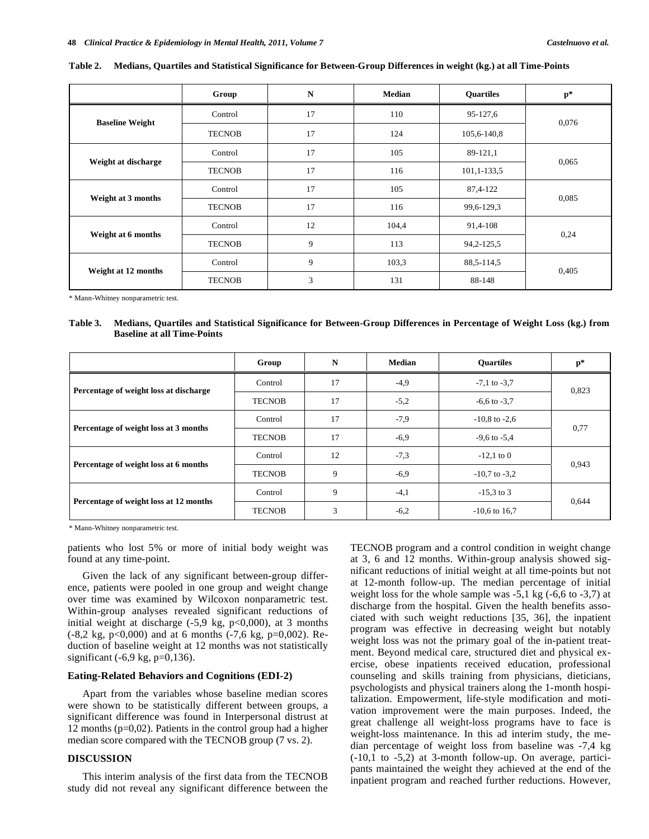|                        | Group         | N  | <b>Median</b> | <b>Ouartiles</b> | $p*$  |  |
|------------------------|---------------|----|---------------|------------------|-------|--|
| <b>Baseline Weight</b> | Control       | 17 | 110           | 95-127,6         | 0,076 |  |
|                        | <b>TECNOB</b> | 17 | 124           | 105,6-140,8      |       |  |
| Weight at discharge    | Control       | 17 | 105           | 89-121,1         | 0,065 |  |
|                        | <b>TECNOB</b> | 17 | 116           | $101, 1-133, 5$  |       |  |
| Weight at 3 months     | Control       | 17 | 105           | 87,4-122         | 0,085 |  |
|                        | <b>TECNOB</b> | 17 | 116           | 99,6-129,3       |       |  |
| Weight at 6 months     | Control       | 12 | 104,4         | 91,4-108         |       |  |
|                        | <b>TECNOB</b> | 9  | 113           | 94, 2-125, 5     | 0,24  |  |
| Weight at 12 months    | Control       | 9  | 103,3         | 88,5-114,5       |       |  |
|                        | <b>TECNOB</b> | 3  | 131           | 88-148           | 0.405 |  |

**Table 2. Medians, Quartiles and Statistical Significance for Between-Group Differences in weight (kg.) at all Time-Points** 

\* Mann-Whitney nonparametric test.

**Table 3. Medians, Quartiles and Statistical Significance for Between-Group Differences in Percentage of Weight Loss (kg.) from Baseline at all Time-Points** 

|                                        | Group         | N  | <b>Median</b> | <b>Ouartiles</b>  | $p*$  |
|----------------------------------------|---------------|----|---------------|-------------------|-------|
| Percentage of weight loss at discharge | Control       | 17 | $-4,9$        | $-7.1$ to $-3.7$  | 0,823 |
|                                        | <b>TECNOB</b> | 17 | $-5,2$        | $-6.6$ to $-3.7$  |       |
| Percentage of weight loss at 3 months  | Control       | 17 | $-7.9$        | $-10,8$ to $-2,6$ | 0,77  |
|                                        | <b>TECNOB</b> | 17 | $-6,9$        | $-9.6$ to $-5.4$  |       |
| Percentage of weight loss at 6 months  | Control       | 12 | $-7,3$        | $-12,1$ to 0      | 0,943 |
|                                        | <b>TECNOB</b> | 9  | $-6,9$        | $-10,7$ to $-3,2$ |       |
| Percentage of weight loss at 12 months | Control       | 9  | $-4,1$        | $-15.3$ to 3      | 0,644 |
|                                        | <b>TECNOB</b> | 3  | $-6,2$        | $-10,6$ to 16,7   |       |

\* Mann-Whitney nonparametric test.

patients who lost 5% or more of initial body weight was found at any time-point.

Given the lack of any significant between-group difference, patients were pooled in one group and weight change over time was examined by Wilcoxon nonparametric test. Within-group analyses revealed significant reductions of initial weight at discharge  $(-5.9 \text{ kg}, \text{p} < 0.000)$ , at 3 months (-8,2 kg, p<0,000) and at 6 months (-7,6 kg, p=0,002). Reduction of baseline weight at 12 months was not statistically significant  $(-6.9 \text{ kg}, \text{p=0}, 136)$ .

#### **Eating-Related Behaviors and Cognitions (EDI-2)**

Apart from the variables whose baseline median scores were shown to be statistically different between groups, a significant difference was found in Interpersonal distrust at 12 months (p=0,02). Patients in the control group had a higher median score compared with the TECNOB group (7 vs. 2).

### **DISCUSSION**

This interim analysis of the first data from the TECNOB study did not reveal any significant difference between the TECNOB program and a control condition in weight change at 3, 6 and 12 months. Within-group analysis showed significant reductions of initial weight at all time-points but not at 12-month follow-up. The median percentage of initial weight loss for the whole sample was -5,1 kg (-6,6 to -3,7) at discharge from the hospital. Given the health benefits associated with such weight reductions [35, 36], the inpatient program was effective in decreasing weight but notably weight loss was not the primary goal of the in-patient treatment. Beyond medical care, structured diet and physical exercise, obese inpatients received education, professional counseling and skills training from physicians, dieticians, psychologists and physical trainers along the 1-month hospitalization. Empowerment, life-style modification and motivation improvement were the main purposes. Indeed, the great challenge all weight-loss programs have to face is weight-loss maintenance. In this ad interim study, the median percentage of weight loss from baseline was -7,4 kg (-10,1 to -5,2) at 3-month follow-up. On average, participants maintained the weight they achieved at the end of the inpatient program and reached further reductions. However,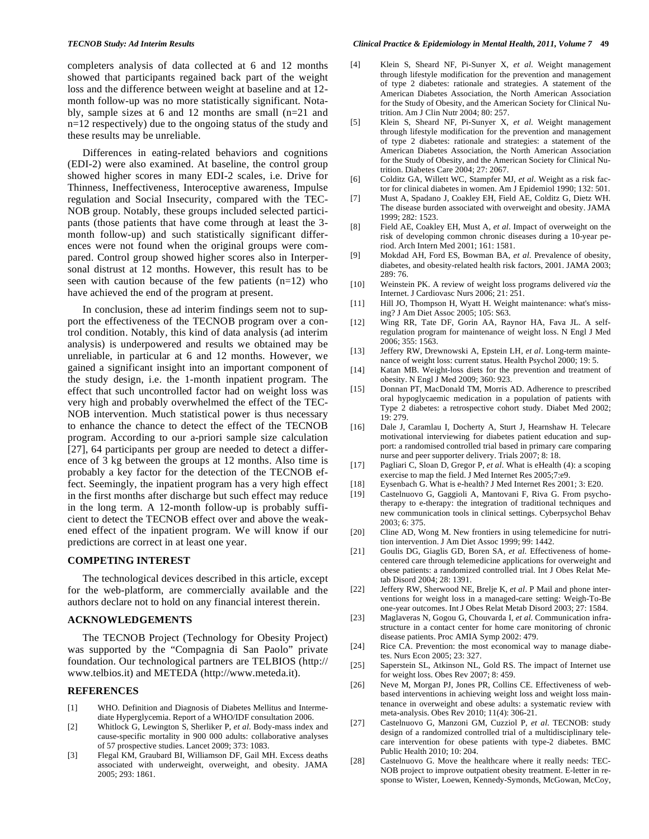completers analysis of data collected at 6 and 12 months showed that participants regained back part of the weight loss and the difference between weight at baseline and at 12 month follow-up was no more statistically significant. Notably, sample sizes at 6 and 12 months are small (n=21 and n=12 respectively) due to the ongoing status of the study and these results may be unreliable.

Differences in eating-related behaviors and cognitions (EDI-2) were also examined. At baseline, the control group showed higher scores in many EDI-2 scales, i.e. Drive for Thinness, Ineffectiveness, Interoceptive awareness, Impulse regulation and Social Insecurity, compared with the TEC-NOB group. Notably, these groups included selected participants (those patients that have come through at least the 3 month follow-up) and such statistically significant differences were not found when the original groups were compared. Control group showed higher scores also in Interpersonal distrust at 12 months. However, this result has to be seen with caution because of the few patients  $(n=12)$  who have achieved the end of the program at present.

In conclusion, these ad interim findings seem not to support the effectiveness of the TECNOB program over a control condition. Notably, this kind of data analysis (ad interim analysis) is underpowered and results we obtained may be unreliable, in particular at 6 and 12 months. However, we gained a significant insight into an important component of the study design, i.e. the 1-month inpatient program. The effect that such uncontrolled factor had on weight loss was very high and probably overwhelmed the effect of the TEC-NOB intervention. Much statistical power is thus necessary to enhance the chance to detect the effect of the TECNOB program. According to our a-priori sample size calculation [27], 64 participants per group are needed to detect a difference of 3 kg between the groups at 12 months. Also time is probably a key factor for the detection of the TECNOB effect. Seemingly, the inpatient program has a very high effect in the first months after discharge but such effect may reduce in the long term. A 12-month follow-up is probably sufficient to detect the TECNOB effect over and above the weakened effect of the inpatient program. We will know if our predictions are correct in at least one year.

### **COMPETING INTEREST**

The technological devices described in this article, except for the web-platform, are commercially available and the authors declare not to hold on any financial interest therein.

## **ACKNOWLEDGEMENTS**

The TECNOB Project (Technology for Obesity Project) was supported by the "Compagnia di San Paolo" private foundation. Our technological partners are TELBIOS (http:// www.telbios.it) and METEDA (http://www.meteda.it).

### **REFERENCES**

- [1] WHO. Definition and Diagnosis of Diabetes Mellitus and Intermediate Hyperglycemia. Report of a WHO/IDF consultation 2006.
- [2] Whitlock G, Lewington S, Sherliker P, *et al*. Body-mass index and cause-specific mortality in 900 000 adults: collaborative analyses of 57 prospective studies. Lancet 2009; 373: 1083.
- [3] Flegal KM, Graubard BI, Williamson DF, Gail MH. Excess deaths associated with underweight, overweight, and obesity. JAMA 2005; 293: 1861.
- [4] Klein S, Sheard NF, Pi-Sunyer X, *et al*. Weight management through lifestyle modification for the prevention and management of type 2 diabetes: rationale and strategies. A statement of the American Diabetes Association, the North American Association for the Study of Obesity, and the American Society for Clinical Nutrition. Am J Clin Nutr 2004; 80: 257.
- [5] Klein S, Sheard NF, Pi-Sunyer X, *et al*. Weight management through lifestyle modification for the prevention and management of type 2 diabetes: rationale and strategies: a statement of the American Diabetes Association, the North American Association for the Study of Obesity, and the American Society for Clinical Nutrition. Diabetes Care 2004; 27: 2067.
- [6] Colditz GA, Willett WC, Stampfer MJ, *et al*. Weight as a risk factor for clinical diabetes in women. Am J Epidemiol 1990; 132: 501.
- [7] Must A, Spadano J, Coakley EH, Field AE, Colditz G, Dietz WH. The disease burden associated with overweight and obesity. JAMA 1999; 282: 1523.
- [8] Field AE, Coakley EH, Must A, *et al*. Impact of overweight on the risk of developing common chronic diseases during a 10-year period. Arch Intern Med 2001; 161: 1581.
- [9] Mokdad AH, Ford ES, Bowman BA, *et al*. Prevalence of obesity, diabetes, and obesity-related health risk factors, 2001. JAMA 2003; 289: 76.
- [10] Weinstein PK. A review of weight loss programs delivered *via* the Internet. J Cardiovasc Nurs 2006; 21: 251.
- [11] Hill JO, Thompson H, Wyatt H. Weight maintenance: what's missing? J Am Diet Assoc 2005; 105: S63.
- [12] Wing RR, Tate DF, Gorin AA, Raynor HA, Fava JL. A selfregulation program for maintenance of weight loss. N Engl J Med 2006; 355: 1563.
- [13] Jeffery RW, Drewnowski A, Epstein LH, *et al*. Long-term maintenance of weight loss: current status. Health Psychol 2000; 19: 5.
- [14] Katan MB. Weight-loss diets for the prevention and treatment of obesity. N Engl J Med 2009; 360: 923.
- [15] Donnan PT, MacDonald TM, Morris AD. Adherence to prescribed oral hypoglycaemic medication in a population of patients with Type 2 diabetes: a retrospective cohort study. Diabet Med 2002;  $19.279$
- [16] Dale J, Caramlau I, Docherty A, Sturt J, Hearnshaw H. Telecare motivational interviewing for diabetes patient education and support: a randomised controlled trial based in primary care comparing nurse and peer supporter delivery. Trials 2007; 8: 18.
- [17] Pagliari C, Sloan D, Gregor P, *et al*. What is eHealth (4): a scoping exercise to map the field. J Med Internet Res 2005;7:e9.
- [18] Eysenbach G. What is e-health? J Med Internet Res 2001; 3: E20.
- [19] Castelnuovo G, Gaggioli A, Mantovani F, Riva G. From psychotherapy to e-therapy: the integration of traditional techniques and new communication tools in clinical settings. Cyberpsychol Behav 2003; 6: 375.
- [20] Cline AD, Wong M. New frontiers in using telemedicine for nutrition intervention. J Am Diet Assoc 1999; 99: 1442.
- [21] Goulis DG, Giaglis GD, Boren SA, *et al*. Effectiveness of homecentered care through telemedicine applications for overweight and obese patients: a randomized controlled trial. Int J Obes Relat Metab Disord 2004; 28: 1391.
- [22] Jeffery RW, Sherwood NE, Brelje K, *et al*. P Mail and phone interventions for weight loss in a managed-care setting: Weigh-To-Be one-year outcomes. Int J Obes Relat Metab Disord 2003; 27: 1584.
- [23] Maglaveras N, Gogou G, Chouvarda I, *et al*. Communication infrastructure in a contact center for home care monitoring of chronic disease patients. Proc AMIA Symp 2002: 479.
- [24] Rice CA. Prevention: the most economical way to manage diabetes. Nurs Econ 2005; 23: 327.
- [25] Saperstein SL, Atkinson NL, Gold RS. The impact of Internet use for weight loss. Obes Rev 2007; 8: 459.
- [26] Neve M, Morgan PJ, Jones PR, Collins CE. Effectiveness of webbased interventions in achieving weight loss and weight loss maintenance in overweight and obese adults: a systematic review with meta-analysis. Obes Rev 2010; 11(4): 306-21.
- [27] Castelnuovo G, Manzoni GM, Cuzziol P, *et al*. TECNOB: study design of a randomized controlled trial of a multidisciplinary telecare intervention for obese patients with type-2 diabetes. BMC Public Health 2010; 10: 204.
- [28] Castelnuovo G. Move the healthcare where it really needs: TEC-NOB project to improve outpatient obesity treatment. E-letter in response to Wister, Loewen, Kennedy-Symonds, McGowan, McCoy,